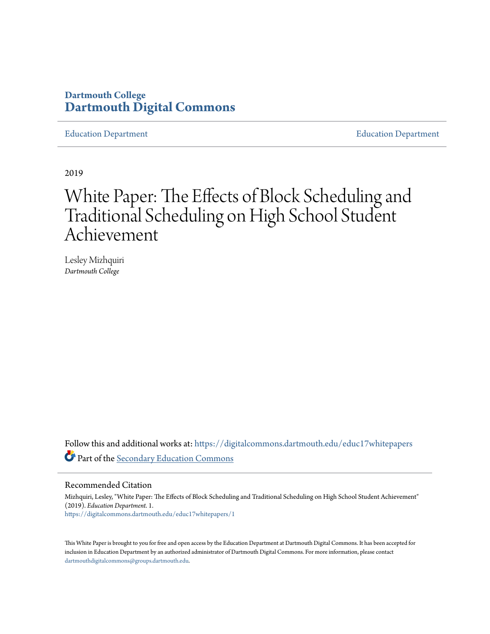# **Dartmouth College [Dartmouth Digital Commons](https://digitalcommons.dartmouth.edu?utm_source=digitalcommons.dartmouth.edu%2Feduc17whitepapers%2F1&utm_medium=PDF&utm_campaign=PDFCoverPages)**

[Education Department](https://digitalcommons.dartmouth.edu/educ17whitepapers?utm_source=digitalcommons.dartmouth.edu%2Feduc17whitepapers%2F1&utm_medium=PDF&utm_campaign=PDFCoverPages) [Education Department](https://digitalcommons.dartmouth.edu/educ17?utm_source=digitalcommons.dartmouth.edu%2Feduc17whitepapers%2F1&utm_medium=PDF&utm_campaign=PDFCoverPages)

2019

# White Paper: The Effects of Block Scheduling and Traditional Scheduling on High School Student Achievement

Lesley Mizhquiri *Dartmouth College*

Follow this and additional works at: [https://digitalcommons.dartmouth.edu/educ17whitepapers](https://digitalcommons.dartmouth.edu/educ17whitepapers?utm_source=digitalcommons.dartmouth.edu%2Feduc17whitepapers%2F1&utm_medium=PDF&utm_campaign=PDFCoverPages) Part of the [Secondary Education Commons](http://network.bepress.com/hgg/discipline/1382?utm_source=digitalcommons.dartmouth.edu%2Feduc17whitepapers%2F1&utm_medium=PDF&utm_campaign=PDFCoverPages)

Recommended Citation

Mizhquiri, Lesley, "White Paper: The Effects of Block Scheduling and Traditional Scheduling on High School Student Achievement" (2019). *Education Department*. 1. [https://digitalcommons.dartmouth.edu/educ17whitepapers/1](https://digitalcommons.dartmouth.edu/educ17whitepapers/1?utm_source=digitalcommons.dartmouth.edu%2Feduc17whitepapers%2F1&utm_medium=PDF&utm_campaign=PDFCoverPages)

This White Paper is brought to you for free and open access by the Education Department at Dartmouth Digital Commons. It has been accepted for inclusion in Education Department by an authorized administrator of Dartmouth Digital Commons. For more information, please contact [dartmouthdigitalcommons@groups.dartmouth.edu.](mailto:dartmouthdigitalcommons@groups.dartmouth.edu)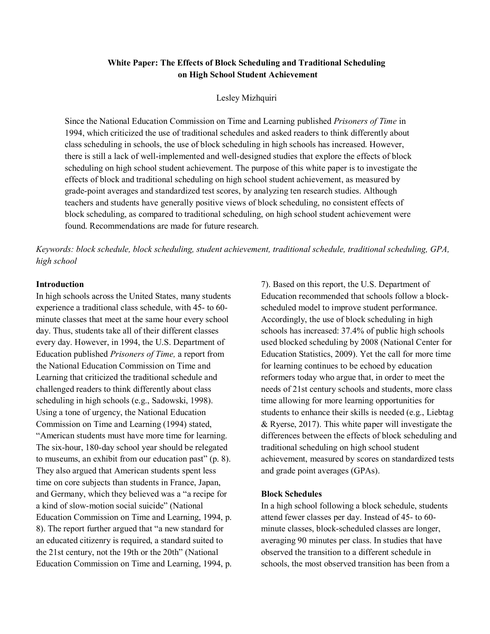# **White Paper: The Effects of Block Scheduling and Traditional Scheduling on High School Student Achievement**

Lesley Mizhquiri

Since the National Education Commission on Time and Learning published *Prisoners of Time* in 1994, which criticized the use of traditional schedules and asked readers to think differently about class scheduling in schools, the use of block scheduling in high schools has increased. However, there is still a lack of well-implemented and well-designed studies that explore the effects of block scheduling on high school student achievement. The purpose of this white paper is to investigate the effects of block and traditional scheduling on high school student achievement, as measured by grade-point averages and standardized test scores, by analyzing ten research studies. Although teachers and students have generally positive views of block scheduling, no consistent effects of block scheduling, as compared to traditional scheduling, on high school student achievement were found. Recommendations are made for future research.

*Keywords: block schedule, block scheduling, student achievement, traditional schedule, traditional scheduling, GPA, high school*

#### **Introduction**

In high schools across the United States, many students experience a traditional class schedule, with 45- to 60 minute classes that meet at the same hour every school day. Thus, students take all of their different classes every day. However, in 1994, the U.S. Department of Education published *Prisoners of Time,* a report from the National Education Commission on Time and Learning that criticized the traditional schedule and challenged readers to think differently about class scheduling in high schools (e.g., Sadowski, 1998). Using a tone of urgency, the National Education Commission on Time and Learning (1994) stated, "American students must have more time for learning. The six-hour, 180-day school year should be relegated to museums, an exhibit from our education past" (p. 8). They also argued that American students spent less time on core subjects than students in France, Japan, and Germany, which they believed was a "a recipe for a kind of slow-motion social suicide" (National Education Commission on Time and Learning, 1994, p. 8). The report further argued that "a new standard for an educated citizenry is required, a standard suited to the 21st century, not the 19th or the 20th" (National Education Commission on Time and Learning, 1994, p. 7). Based on this report, the U.S. Department of Education recommended that schools follow a blockscheduled model to improve student performance. Accordingly, the use of block scheduling in high schools has increased: 37.4% of public high schools used blocked scheduling by 2008 (National Center for Education Statistics, 2009). Yet the call for more time for learning continues to be echoed by education reformers today who argue that, in order to meet the needs of 21st century schools and students, more class time allowing for more learning opportunities for students to enhance their skills is needed (e.g., Liebtag & Ryerse, 2017). This white paper will investigate the differences between the effects of block scheduling and traditional scheduling on high school student achievement, measured by scores on standardized tests and grade point averages (GPAs).

## **Block Schedules**

In a high school following a block schedule, students attend fewer classes per day. Instead of 45- to 60 minute classes, block-scheduled classes are longer, averaging 90 minutes per class. In studies that have observed the transition to a different schedule in schools, the most observed transition has been from a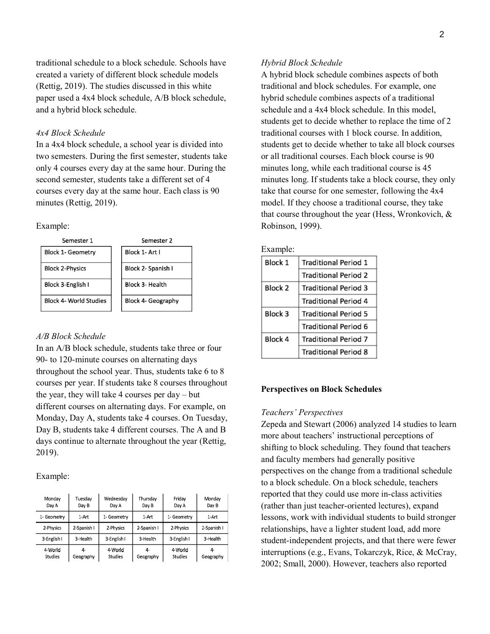traditional schedule to a block schedule. Schools have created a variety of different block schedule models (Rettig, 2019). The studies discussed in this white paper used a 4x4 block schedule, A/B block schedule, and a hybrid block schedule.

#### *4x4 Block Schedule*

In a 4x4 block schedule, a school year is divided into two semesters. During the first semester, students take only 4 courses every day at the same hour. During the second semester, students take a different set of 4 courses every day at the same hour. Each class is 90 minutes (Rettig, 2019).

#### Example:

| Semester 1                    | Semester 2                |
|-------------------------------|---------------------------|
| <b>Block 1- Geometry</b>      | Block 1- Art I            |
| <b>Block 2-Physics</b>        | Block 2- Spanish I        |
| Block 3-English I             | Block 3- Health           |
| <b>Block 4- World Studies</b> | <b>Block 4- Geography</b> |

#### *A/B Block Schedule*

In an A/B block schedule, students take three or four 90- to 120-minute courses on alternating days throughout the school year. Thus, students take 6 to 8 courses per year. If students take 8 courses throughout the year, they will take 4 courses per day – but different courses on alternating days. For example, on Monday, Day A, students take 4 courses. On Tuesday, Day B, students take 4 different courses. The A and B days continue to alternate throughout the year (Rettig, 2019).

Example:

| Monday<br>Day A    | Tuesday<br>Day B | Wednesday<br>Day A | Thursday<br>Day B | Friday<br>Day A    | Monday<br>Day B |
|--------------------|------------------|--------------------|-------------------|--------------------|-----------------|
| 1- Geometry        | 1-Art            | 1- Geometry        | 1-Art             | 1- Geometry        | 1 Art           |
| 2-Physics          | 2-Spanish I      | 2-Physics          | 2-Spanish I       | 2-Physics          | 2-Spanish I     |
| 3-English I        | 3-Health         | 3-English I        | 3-Health          | 3-English I        | 3-Health        |
| 4-World<br>Studies | 4-<br>Geography  | 4-World<br>Studies | 4-<br>Geography   | 4-World<br>Studies | 4-<br>Geography |

#### *Hybrid Block Schedule*

A hybrid block schedule combines aspects of both traditional and block schedules. For example, one hybrid schedule combines aspects of a traditional schedule and a 4x4 block schedule. In this model, students get to decide whether to replace the time of 2 traditional courses with 1 block course. In addition, students get to decide whether to take all block courses or all traditional courses. Each block course is 90 minutes long, while each traditional course is 45 minutes long. If students take a block course, they only take that course for one semester, following the 4x4 model. If they choose a traditional course, they take that course throughout the year (Hess, Wronkovich, & Robinson, 1999).

|--|

| Block 1 | <b>Traditional Period 1</b> |  |
|---------|-----------------------------|--|
|         | <b>Traditional Period 2</b> |  |
| Block 2 | <b>Traditional Period 3</b> |  |
|         | <b>Traditional Period 4</b> |  |
| Block 3 | <b>Traditional Period 5</b> |  |
|         | Traditional Period 6        |  |
| Block 4 | <b>Traditional Period 7</b> |  |
|         | <b>Traditional Period 8</b> |  |

#### **Perspectives on Block Schedules**

#### *Teachers' Perspectives*

Zepeda and Stewart (2006) analyzed 14 studies to learn more about teachers' instructional perceptions of shifting to block scheduling. They found that teachers and faculty members had generally positive perspectives on the change from a traditional schedule to a block schedule. On a block schedule, teachers reported that they could use more in-class activities (rather than just teacher-oriented lectures), expand lessons, work with individual students to build stronger relationships, have a lighter student load, add more student-independent projects, and that there were fewer interruptions (e.g., Evans, Tokarczyk, Rice, & McCray, 2002; Small, 2000). However, teachers also reported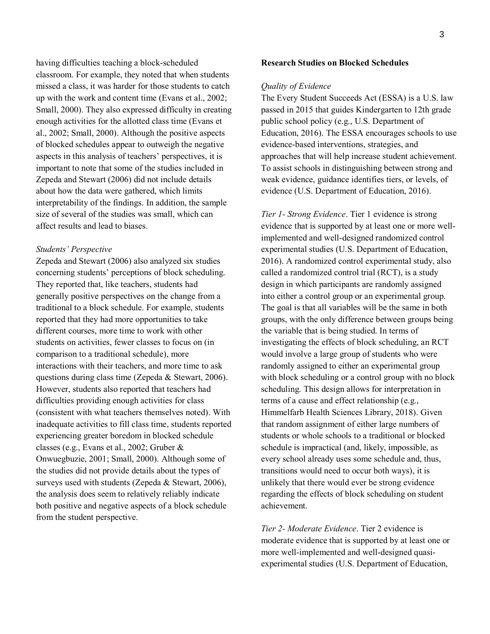having difficulties teaching a block-scheduled classroom. For example, they noted that when students missed a class, it was harder for those students to catch up with the work and content time (Evans et al., 2002; Small, 2000). They also expressed difficulty in creating enough activities for the allotted class time (Evans et al., 2002; Small, 2000). Although the positive aspects of blocked schedules appear to outweigh the negative aspects in this analysis of teachers' perspectives, it is important to note that some of the studies included in Zepeda and Stewart (2006) did not include details about how the data were gathered, which limits interpretability of the findings. In addition, the sample size of several of the studies was small, which can affect results and lead to biases.

#### *Students' Perspective*

Zepeda and Stewart (2006) also analyzed six studies concerning students' perceptions of block scheduling. They reported that, like teachers, students had generally positive perspectives on the change from a traditional to a block schedule. For example, students reported that they had more opportunities to take different courses, more time to work with other students on activities, fewer classes to focus on (in comparison to a traditional schedule), more interactions with their teachers, and more time to ask questions during class time (Zepeda & Stewart, 2006). However, students also reported that teachers had difficulties providing enough activities for class (consistent with what teachers themselves noted). With inadequate activities to fill class time, students reported experiencing greater boredom in blocked schedule classes (e.g., Evans et al., 2002; Gruber & Onwuegbuzie, 2001; Small, 2000). Although some of the studies did not provide details about the types of surveys used with students (Zepeda & Stewart, 2006), the analysis does seem to relatively reliably indicate both positive and negative aspects of a block schedule from the student perspective.

#### **Research Studies on Blocked Schedules**

#### *Quality of Evidence*

The Every Student Succeeds Act (ESSA) is a U.S. law passed in 2015 that guides Kindergarten to 12th grade public school policy (e.g., U.S. Department of Education, 2016). The ESSA encourages schools to use evidence-based interventions, strategies, and approaches that will help increase student achievement. To assist schools in distinguishing between strong and weak evidence, guidance identifies tiers, or levels, of evidence (U.S. Department of Education, 2016).

*Tier 1- Strong Evidence*. Tier 1 evidence is strong evidence that is supported by at least one or more wellimplemented and well-designed randomized control experimental studies (U.S. Department of Education, 2016). A randomized control experimental study, also called a randomized control trial (RCT), is a study design in which participants are randomly assigned into either a control group or an experimental group. The goal is that all variables will be the same in both groups, with the only difference between groups being the variable that is being studied. In terms of investigating the effects of block scheduling, an RCT would involve a large group of students who were randomly assigned to either an experimental group with block scheduling or a control group with no block scheduling. This design allows for interpretation in terms of a cause and effect relationship (e.g., Himmelfarb Health Sciences Library, 2018). Given that random assignment of either large numbers of students or whole schools to a traditional or blocked schedule is impractical (and, likely, impossible, as every school already uses some schedule and, thus, transitions would need to occur both ways), it is unlikely that there would ever be strong evidence regarding the effects of block scheduling on student achievement.

*Tier 2- Moderate Evidence*. Tier 2 evidence is moderate evidence that is supported by at least one or more well-implemented and well-designed quasiexperimental studies (U.S. Department of Education,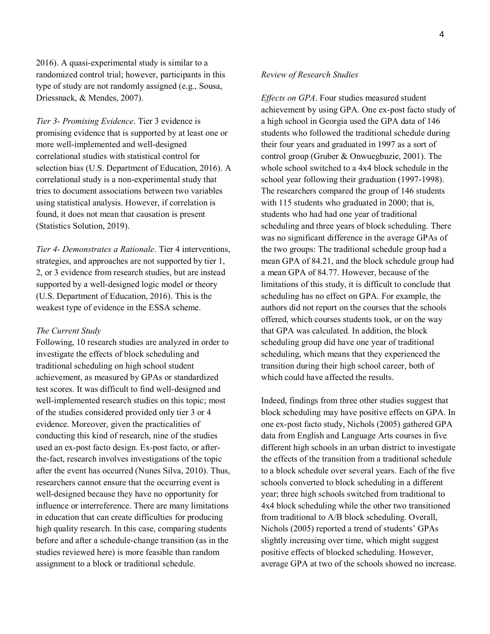2016). A quasi-experimental study is similar to a randomized control trial; however, participants in this type of study are not randomly assigned (e.g., Sousa, Driessnack, & Mendes, 2007).

*Tier 3- Promising Evidence*. Tier 3 evidence is promising evidence that is supported by at least one or more well-implemented and well-designed correlational studies with statistical control for selection bias (U.S. Department of Education, 2016). A correlational study is a non-experimental study that tries to document associations between two variables using statistical analysis. However, if correlation is found, it does not mean that causation is present (Statistics Solution, 2019).

*Tier 4- Demonstrates a Rationale*. Tier 4 interventions, strategies, and approaches are not supported by tier 1, 2, or 3 evidence from research studies, but are instead supported by a well-designed logic model or theory (U.S. Department of Education, 2016). This is the weakest type of evidence in the ESSA scheme.

#### *The Current Study*

Following, 10 research studies are analyzed in order to investigate the effects of block scheduling and traditional scheduling on high school student achievement, as measured by GPAs or standardized test scores. It was difficult to find well-designed and well-implemented research studies on this topic; most of the studies considered provided only tier 3 or 4 evidence. Moreover, given the practicalities of conducting this kind of research, nine of the studies used an ex-post facto design. Ex-post facto, or afterthe-fact, research involves investigations of the topic after the event has occurred (Nunes Silva, 2010). Thus, researchers cannot ensure that the occurring event is well-designed because they have no opportunity for influence or interreference. There are many limitations in education that can create difficulties for producing high quality research. In this case, comparing students before and after a schedule-change transition (as in the studies reviewed here) is more feasible than random assignment to a block or traditional schedule.

#### *Review of Research Studies*

*Effects on GPA*. Four studies measured student achievement by using GPA. One ex-post facto study of a high school in Georgia used the GPA data of 146 students who followed the traditional schedule during their four years and graduated in 1997 as a sort of control group (Gruber & Onwuegbuzie, 2001). The whole school switched to a 4x4 block schedule in the school year following their graduation (1997-1998). The researchers compared the group of 146 students with 115 students who graduated in 2000; that is, students who had had one year of traditional scheduling and three years of block scheduling. There was no significant difference in the average GPAs of the two groups: The traditional schedule group had a mean GPA of 84.21, and the block schedule group had a mean GPA of 84.77. However, because of the limitations of this study, it is difficult to conclude that scheduling has no effect on GPA. For example, the authors did not report on the courses that the schools offered, which courses students took, or on the way that GPA was calculated. In addition, the block scheduling group did have one year of traditional scheduling, which means that they experienced the transition during their high school career, both of which could have affected the results.

Indeed, findings from three other studies suggest that block scheduling may have positive effects on GPA. In one ex-post facto study, Nichols (2005) gathered GPA data from English and Language Arts courses in five different high schools in an urban district to investigate the effects of the transition from a traditional schedule to a block schedule over several years. Each of the five schools converted to block scheduling in a different year; three high schools switched from traditional to 4x4 block scheduling while the other two transitioned from traditional to A/B block scheduling. Overall, Nichols (2005) reported a trend of students' GPAs slightly increasing over time, which might suggest positive effects of blocked scheduling. However, average GPA at two of the schools showed no increase.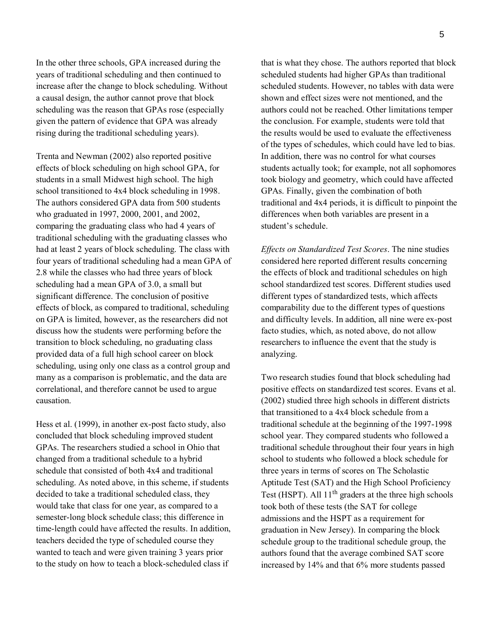In the other three schools, GPA increased during the years of traditional scheduling and then continued to increase after the change to block scheduling. Without a causal design, the author cannot prove that block scheduling was the reason that GPAs rose (especially given the pattern of evidence that GPA was already rising during the traditional scheduling years).

Trenta and Newman (2002) also reported positive effects of block scheduling on high school GPA, for students in a small Midwest high school. The high school transitioned to 4x4 block scheduling in 1998. The authors considered GPA data from 500 students who graduated in 1997, 2000, 2001, and 2002, comparing the graduating class who had 4 years of traditional scheduling with the graduating classes who had at least 2 years of block scheduling. The class with four years of traditional scheduling had a mean GPA of 2.8 while the classes who had three years of block scheduling had a mean GPA of 3.0, a small but significant difference. The conclusion of positive effects of block, as compared to traditional, scheduling on GPA is limited, however, as the researchers did not discuss how the students were performing before the transition to block scheduling, no graduating class provided data of a full high school career on block scheduling, using only one class as a control group and many as a comparison is problematic, and the data are correlational, and therefore cannot be used to argue causation.

Hess et al. (1999), in another ex-post facto study, also concluded that block scheduling improved student GPAs. The researchers studied a school in Ohio that changed from a traditional schedule to a hybrid schedule that consisted of both 4x4 and traditional scheduling. As noted above, in this scheme, if students decided to take a traditional scheduled class, they would take that class for one year, as compared to a semester-long block schedule class; this difference in time-length could have affected the results. In addition, teachers decided the type of scheduled course they wanted to teach and were given training 3 years prior to the study on how to teach a block-scheduled class if

that is what they chose. The authors reported that block scheduled students had higher GPAs than traditional scheduled students. However, no tables with data were shown and effect sizes were not mentioned, and the authors could not be reached. Other limitations temper the conclusion. For example, students were told that the results would be used to evaluate the effectiveness of the types of schedules, which could have led to bias. In addition, there was no control for what courses students actually took; for example, not all sophomores took biology and geometry, which could have affected GPAs. Finally, given the combination of both traditional and 4x4 periods, it is difficult to pinpoint the differences when both variables are present in a student's schedule.

*Effects on Standardized Test Scores*. The nine studies considered here reported different results concerning the effects of block and traditional schedules on high school standardized test scores. Different studies used different types of standardized tests, which affects comparability due to the different types of questions and difficulty levels. In addition, all nine were ex-post facto studies, which, as noted above, do not allow researchers to influence the event that the study is analyzing.

Two research studies found that block scheduling had positive effects on standardized test scores. Evans et al. (2002) studied three high schools in different districts that transitioned to a 4x4 block schedule from a traditional schedule at the beginning of the 1997-1998 school year. They compared students who followed a traditional schedule throughout their four years in high school to students who followed a block schedule for three years in terms of scores on The Scholastic Aptitude Test (SAT) and the High School Proficiency Test (HSPT). All 11<sup>th</sup> graders at the three high schools took both of these tests (the SAT for college admissions and the HSPT as a requirement for graduation in New Jersey). In comparing the block schedule group to the traditional schedule group, the authors found that the average combined SAT score increased by 14% and that 6% more students passed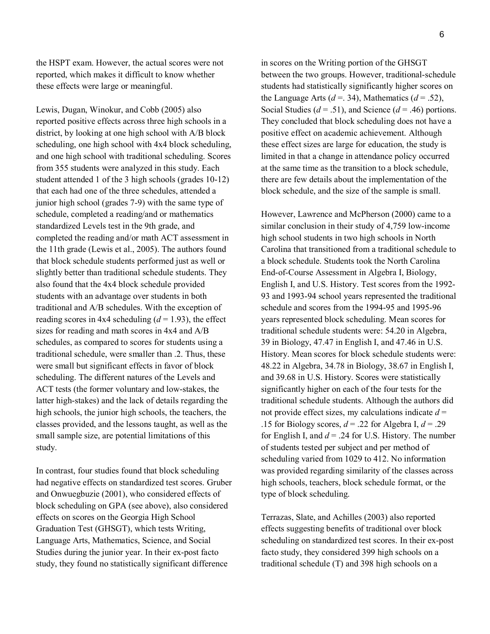the HSPT exam. However, the actual scores were not reported, which makes it difficult to know whether these effects were large or meaningful.

Lewis, Dugan, Winokur, and Cobb (2005) also reported positive effects across three high schools in a district, by looking at one high school with A/B block scheduling, one high school with 4x4 block scheduling, and one high school with traditional scheduling. Scores from 355 students were analyzed in this study. Each student attended 1 of the 3 high schools (grades 10-12) that each had one of the three schedules, attended a junior high school (grades 7-9) with the same type of schedule, completed a reading/and or mathematics standardized Levels test in the 9th grade, and completed the reading and/or math ACT assessment in the 11th grade (Lewis et al., 2005). The authors found that block schedule students performed just as well or slightly better than traditional schedule students. They also found that the 4x4 block schedule provided students with an advantage over students in both traditional and A/B schedules. With the exception of reading scores in 4x4 scheduling  $(d = 1.93)$ , the effect sizes for reading and math scores in 4x4 and A/B schedules, as compared to scores for students using a traditional schedule, were smaller than .2. Thus, these were small but significant effects in favor of block scheduling. The different natures of the Levels and ACT tests (the former voluntary and low-stakes, the latter high-stakes) and the lack of details regarding the high schools, the junior high schools, the teachers, the classes provided, and the lessons taught, as well as the small sample size, are potential limitations of this study.

In contrast, four studies found that block scheduling had negative effects on standardized test scores. Gruber and Onwuegbuzie (2001), who considered effects of block scheduling on GPA (see above), also considered effects on scores on the Georgia High School Graduation Test (GHSGT), which tests Writing, Language Arts, Mathematics, Science, and Social Studies during the junior year. In their ex-post facto study, they found no statistically significant difference

in scores on the Writing portion of the GHSGT between the two groups. However, traditional-schedule students had statistically significantly higher scores on the Language Arts ( $d = 0.34$ ), Mathematics ( $d = 0.52$ ), Social Studies ( $d = .51$ ), and Science ( $d = .46$ ) portions. They concluded that block scheduling does not have a positive effect on academic achievement. Although these effect sizes are large for education, the study is limited in that a change in attendance policy occurred at the same time as the transition to a block schedule, there are few details about the implementation of the block schedule, and the size of the sample is small.

However, Lawrence and McPherson (2000) came to a similar conclusion in their study of 4,759 low-income high school students in two high schools in North Carolina that transitioned from a traditional schedule to a block schedule. Students took the North Carolina End-of-Course Assessment in Algebra I, Biology, English I, and U.S. History. Test scores from the 1992- 93 and 1993-94 school years represented the traditional schedule and scores from the 1994-95 and 1995-96 years represented block scheduling. Mean scores for traditional schedule students were: 54.20 in Algebra, 39 in Biology, 47.47 in English I, and 47.46 in U.S. History. Mean scores for block schedule students were: 48.22 in Algebra, 34.78 in Biology, 38.67 in English I, and 39.68 in U.S. History. Scores were statistically significantly higher on each of the four tests for the traditional schedule students. Although the authors did not provide effect sizes, my calculations indicate  $d =$ .15 for Biology scores,  $d = 0.22$  for Algebra I,  $d = 0.29$ for English I, and  $d = 0.24$  for U.S. History. The number of students tested per subject and per method of scheduling varied from 1029 to 412. No information was provided regarding similarity of the classes across high schools, teachers, block schedule format, or the type of block scheduling.

Terrazas, Slate, and Achilles (2003) also reported effects suggesting benefits of traditional over block scheduling on standardized test scores. In their ex-post facto study, they considered 399 high schools on a traditional schedule (T) and 398 high schools on a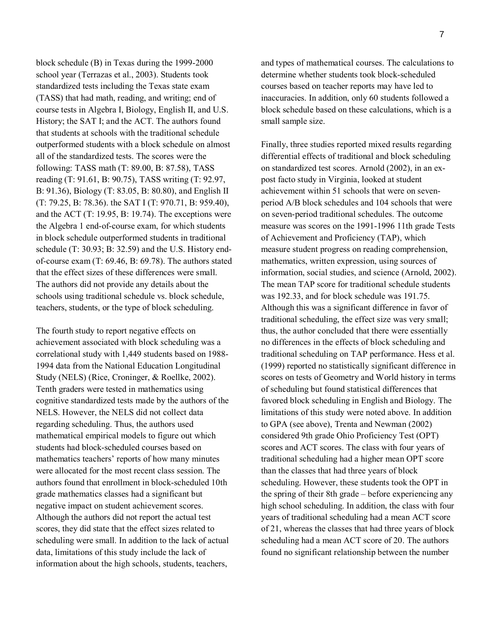block schedule (B) in Texas during the 1999-2000 school year (Terrazas et al., 2003). Students took standardized tests including the Texas state exam (TASS) that had math, reading, and writing; end of course tests in Algebra I, Biology, English II, and U.S. History; the SAT I; and the ACT. The authors found that students at schools with the traditional schedule outperformed students with a block schedule on almost all of the standardized tests. The scores were the following: TASS math (T: 89.00, B: 87.58), TASS reading (T: 91.61, B: 90.75), TASS writing (T: 92.97, B: 91.36), Biology (T: 83.05, B: 80.80), and English II (T: 79.25, B: 78.36). the SAT I (T: 970.71, B: 959.40), and the ACT (T: 19.95, B: 19.74). The exceptions were the Algebra 1 end-of-course exam, for which students in block schedule outperformed students in traditional schedule (T: 30.93; B: 32.59) and the U.S. History endof-course exam (T: 69.46, B: 69.78). The authors stated that the effect sizes of these differences were small. The authors did not provide any details about the schools using traditional schedule vs. block schedule, teachers, students, or the type of block scheduling.

The fourth study to report negative effects on achievement associated with block scheduling was a correlational study with 1,449 students based on 1988- 1994 data from the National Education Longitudinal Study (NELS) (Rice, Croninger, & Roellke, 2002). Tenth graders were tested in mathematics using cognitive standardized tests made by the authors of the NELS. However, the NELS did not collect data regarding scheduling. Thus, the authors used mathematical empirical models to figure out which students had block-scheduled courses based on mathematics teachers' reports of how many minutes were allocated for the most recent class session. The authors found that enrollment in block-scheduled 10th grade mathematics classes had a significant but negative impact on student achievement scores. Although the authors did not report the actual test scores, they did state that the effect sizes related to scheduling were small. In addition to the lack of actual data, limitations of this study include the lack of information about the high schools, students, teachers,

and types of mathematical courses. The calculations to determine whether students took block-scheduled courses based on teacher reports may have led to inaccuracies. In addition, only 60 students followed a block schedule based on these calculations, which is a small sample size.

Finally, three studies reported mixed results regarding differential effects of traditional and block scheduling on standardized test scores. Arnold (2002), in an expost facto study in Virginia, looked at student achievement within 51 schools that were on sevenperiod A/B block schedules and 104 schools that were on seven-period traditional schedules. The outcome measure was scores on the 1991-1996 11th grade Tests of Achievement and Proficiency (TAP), which measure student progress on reading comprehension, mathematics, written expression, using sources of information, social studies, and science (Arnold, 2002). The mean TAP score for traditional schedule students was 192.33, and for block schedule was 191.75. Although this was a significant difference in favor of traditional scheduling, the effect size was very small; thus, the author concluded that there were essentially no differences in the effects of block scheduling and traditional scheduling on TAP performance. Hess et al. (1999) reported no statistically significant difference in scores on tests of Geometry and World history in terms of scheduling but found statistical differences that favored block scheduling in English and Biology. The limitations of this study were noted above. In addition to GPA (see above), Trenta and Newman (2002) considered 9th grade Ohio Proficiency Test (OPT) scores and ACT scores. The class with four years of traditional scheduling had a higher mean OPT score than the classes that had three years of block scheduling. However, these students took the OPT in the spring of their 8th grade – before experiencing any high school scheduling. In addition, the class with four years of traditional scheduling had a mean ACT score of 21, whereas the classes that had three years of block scheduling had a mean ACT score of 20. The authors found no significant relationship between the number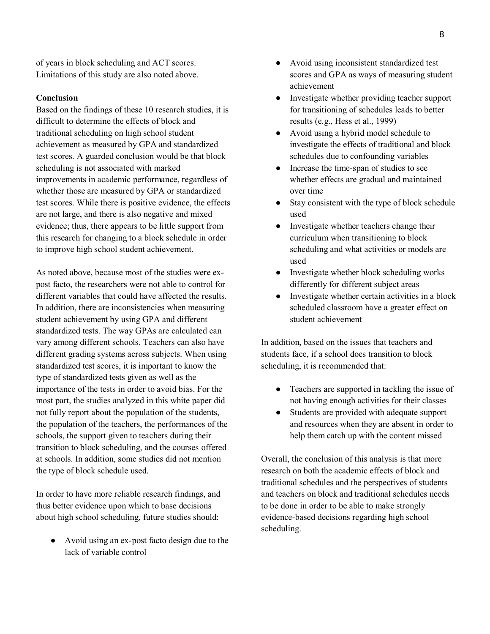of years in block scheduling and ACT scores. Limitations of this study are also noted above.

## **Conclusion**

Based on the findings of these 10 research studies, it is difficult to determine the effects of block and traditional scheduling on high school student achievement as measured by GPA and standardized test scores. A guarded conclusion would be that block scheduling is not associated with marked improvements in academic performance, regardless of whether those are measured by GPA or standardized test scores. While there is positive evidence, the effects are not large, and there is also negative and mixed evidence; thus, there appears to be little support from this research for changing to a block schedule in order to improve high school student achievement.

As noted above, because most of the studies were expost facto, the researchers were not able to control for different variables that could have affected the results. In addition, there are inconsistencies when measuring student achievement by using GPA and different standardized tests. The way GPAs are calculated can vary among different schools. Teachers can also have different grading systems across subjects. When using standardized test scores, it is important to know the type of standardized tests given as well as the importance of the tests in order to avoid bias. For the most part, the studies analyzed in this white paper did not fully report about the population of the students, the population of the teachers, the performances of the schools, the support given to teachers during their transition to block scheduling, and the courses offered at schools. In addition, some studies did not mention the type of block schedule used.

In order to have more reliable research findings, and thus better evidence upon which to base decisions about high school scheduling, future studies should:

● Avoid using an ex-post facto design due to the lack of variable control

- Avoid using inconsistent standardized test scores and GPA as ways of measuring student achievement
- Investigate whether providing teacher support for transitioning of schedules leads to better results (e.g., Hess et al., 1999)
- Avoid using a hybrid model schedule to investigate the effects of traditional and block schedules due to confounding variables
- Increase the time-span of studies to see whether effects are gradual and maintained over time
- Stay consistent with the type of block schedule used
- Investigate whether teachers change their curriculum when transitioning to block scheduling and what activities or models are used
- Investigate whether block scheduling works differently for different subject areas
- Investigate whether certain activities in a block scheduled classroom have a greater effect on student achievement

In addition, based on the issues that teachers and students face, if a school does transition to block scheduling, it is recommended that:

- Teachers are supported in tackling the issue of not having enough activities for their classes
- Students are provided with adequate support and resources when they are absent in order to help them catch up with the content missed

Overall, the conclusion of this analysis is that more research on both the academic effects of block and traditional schedules and the perspectives of students and teachers on block and traditional schedules needs to be done in order to be able to make strongly evidence-based decisions regarding high school scheduling.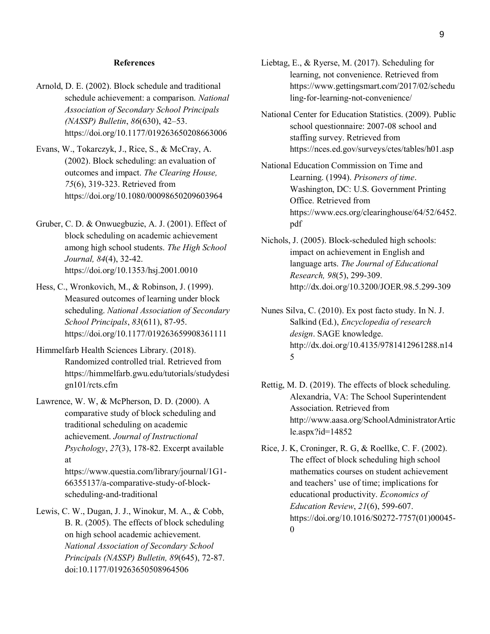#### **References**

- Arnold, D. E. (2002). Block schedule and traditional schedule achievement: a comparison. *National Association of Secondary School Principals (NASSP) Bulletin*, *86*(630), 42–53. <https://doi.org/10.1177/019263650208663006>
- Evans, W., Tokarczyk, J., Rice, S., & McCray, A. (2002). Block scheduling: an evaluation of outcomes and impact. *The Clearing House, 75*(6), 319-323. Retrieved from <https://doi.org/10.1080/00098650209603964>
- Gruber, C. D. & Onwuegbuzie, A. J. (2001). Effect of block scheduling on academic achievement among high school students. *The High School Journal, 84*(4), 32-42. https://doi.org[/10.1353/hsj.2001.0010](https://doi.org/10.1353/hsj.2001.0010)
- Hess, C., Wronkovich, M., & Robinson, J. (1999). Measured outcomes of learning under block scheduling. *National Association of Secondary School Principals*, *83*(611), 87-95. <https://doi.org/10.1177/019263659908361111>
- Himmelfarb Health Sciences Library. (2018). Randomized controlled trial. Retrieved from [https://himmelfarb.gwu.edu/tutorials/studydesi](https://himmelfarb.gwu.edu/tutorials/studydesign101/rcts.cfm) [gn101/rcts.cfm](https://himmelfarb.gwu.edu/tutorials/studydesign101/rcts.cfm)
- Lawrence, W. W, & McPherson, D. D. (2000). A comparative study of block scheduling and traditional scheduling on academic achievement. *Journal of Instructional Psychology*, *27*(3), 178-82. Excerpt available at https://www.questia.com/library/journal/1G1- 66355137/a-comparative-study-of-blockscheduling-and-traditional
- Lewis, C. W., Dugan, J. J., Winokur, M. A., & Cobb, B. R. (2005). The effects of block scheduling on high school academic achievement. *National Association of Secondary School Principals (NASSP) Bulletin, 89*(645), 72-87. doi:10.1177/019263650508964506
- Liebtag, E., & Ryerse, M. (2017). Scheduling for learning, not convenience. Retrieved from [https://www.gettingsmart.com/2017/02/schedu](https://www.gettingsmart.com/2017/02/scheduling-for-learning-not-convenience/) [ling-for-learning-not-convenience/](https://www.gettingsmart.com/2017/02/scheduling-for-learning-not-convenience/)
- National Center for Education Statistics. (2009). Public school questionnaire: 2007-08 school and staffing survey. Retrieved from https://nces.ed.gov/surveys/ctes/tables/h01.asp
- National Education Commission on Time and Learning. (1994). *Prisoners of time*. Washington, DC: U.S. Government Printing Office. Retrieved from [https://www.ecs.org/clearinghouse/64/52/6452.](https://www.ecs.org/clearinghouse/64/52/6452.pdf) [pdf](https://www.ecs.org/clearinghouse/64/52/6452.pdf)
- Nichols, J. (2005). Block-scheduled high schools: impact on achievement in English and language arts. *The Journal of Educational Research, 98*(5), 299-309. <http://dx.doi.org/10.3200/JOER.98.5.299-309>
- Nunes Silva, C. (2010). Ex post facto study. In N. J. Salkind (Ed.), *Encyclopedia of research design*. SAGE knowledge. http://dx.doi.org/10.4135/9781412961288.n14 5
- Rettig, M. D. (2019). The effects of block scheduling. Alexandria, VA: The School Superintendent Association. Retrieved from [http://www.aasa.org/SchoolAdministratorArtic](http://www.aasa.org/SchoolAdministratorArticle.aspx?id=14852) [le.aspx?id=14852](http://www.aasa.org/SchoolAdministratorArticle.aspx?id=14852)
- Rice, J. K, Croninger, R. G, & Roellke, C. F. (2002). The effect of block scheduling high school mathematics courses on student achievement and teachers' use of time; implications for educational productivity. *Economics of Education Review*, *21*(6), 599-607. [https://doi.org/10.1016/S0272-7757\(01\)00045-](https://doi.org/10.1016/S0272-7757(01)00045-0) [0](https://doi.org/10.1016/S0272-7757(01)00045-0)